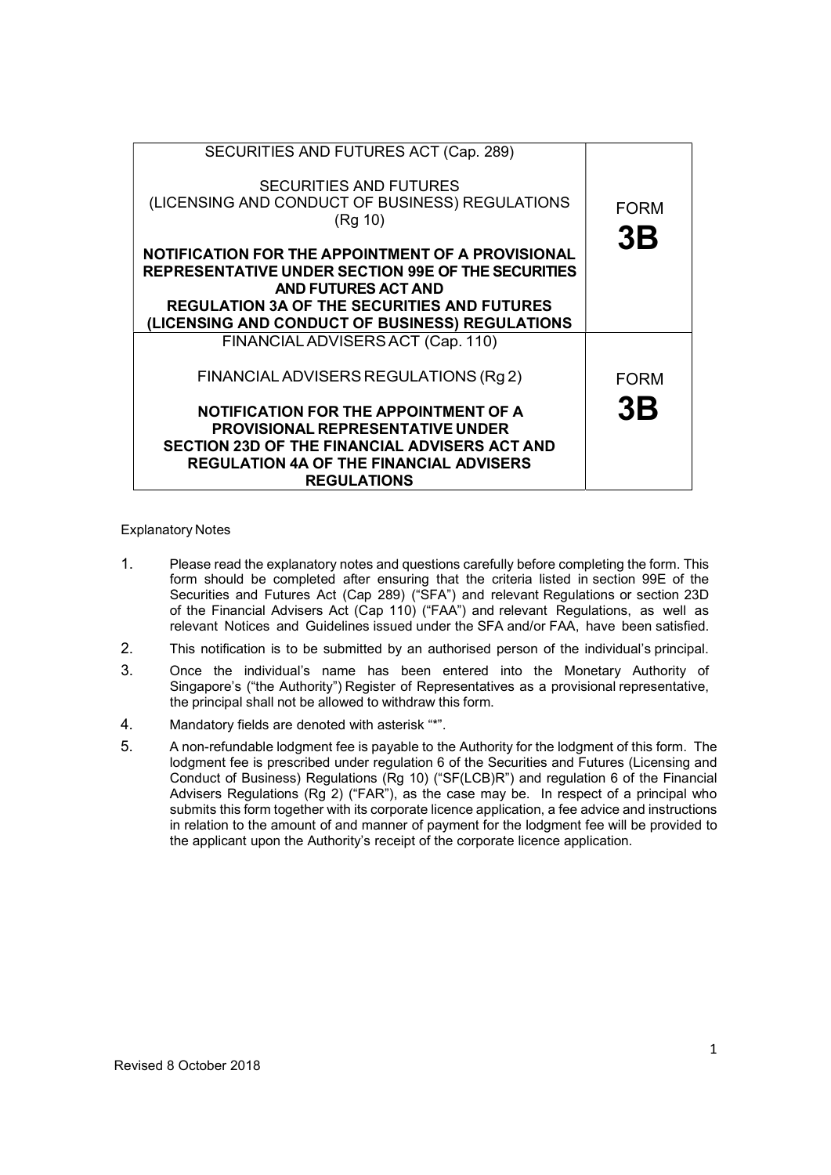| SECURITIES AND FUTURES ACT (Cap. 289)<br><b>SECURITIES AND FUTURES</b><br>(LICENSING AND CONDUCT OF BUSINESS) REGULATIONS<br>(Rg 10)                                                                                                                  | <b>FORM</b><br>3B |
|-------------------------------------------------------------------------------------------------------------------------------------------------------------------------------------------------------------------------------------------------------|-------------------|
| NOTIFICATION FOR THE APPOINTMENT OF A PROVISIONAL<br><b>REPRESENTATIVE UNDER SECTION 99E OF THE SECURITIES</b><br><b>AND FUTURES ACT AND</b><br><b>REGULATION 3A OF THE SECURITIES AND FUTURES</b><br>(LICENSING AND CONDUCT OF BUSINESS) REGULATIONS |                   |
| FINANCIAL ADVISERS ACT (Cap. 110)                                                                                                                                                                                                                     |                   |
| FINANCIAL ADVISERS REGULATIONS (Rg 2)                                                                                                                                                                                                                 | <b>FORM</b>       |
| NOTIFICATION FOR THE APPOINTMENT OF A<br><b>PROVISIONAL REPRESENTATIVE UNDER</b><br>SECTION 23D OF THE FINANCIAL ADVISERS ACT AND<br><b>REGULATION 4A OF THE FINANCIAL ADVISERS</b><br><b>REGULATIONS</b>                                             | 3B                |

# Explanatory Notes

- 1. Please read the explanatory notes and questions carefully before completing the form. This form should be completed after ensuring that the criteria listed in section 99E of the Securities and Futures Act (Cap 289) ("SFA") and relevant Regulations or section 23D of the Financial Advisers Act (Cap 110) ("FAA") and relevant Regulations, as well as relevant Notices and Guidelines issued under the SFA and/or FAA, have been satisfied.
- 2. This notification is to be submitted by an authorised person of the individual's principal.
- 3. Once the individual's name has been entered into the Monetary Authority of Singapore's ("the Authority") Register of Representatives as a provisional representative, the principal shall not be allowed to withdraw this form.
- 4. Mandatory fields are denoted with asterisk "\*".
- 5. A non-refundable lodgment fee is payable to the Authority for the lodgment of this form. The lodgment fee is prescribed under regulation 6 of the Securities and Futures (Licensing and Conduct of Business) Regulations (Rg 10) ("SF(LCB)R") and regulation 6 of the Financial Advisers Regulations (Rg 2) ("FAR"), as the case may be. In respect of a principal who submits this form together with its corporate licence application, a fee advice and instructions in relation to the amount of and manner of payment for the lodgment fee will be provided to the applicant upon the Authority's receipt of the corporate licence application.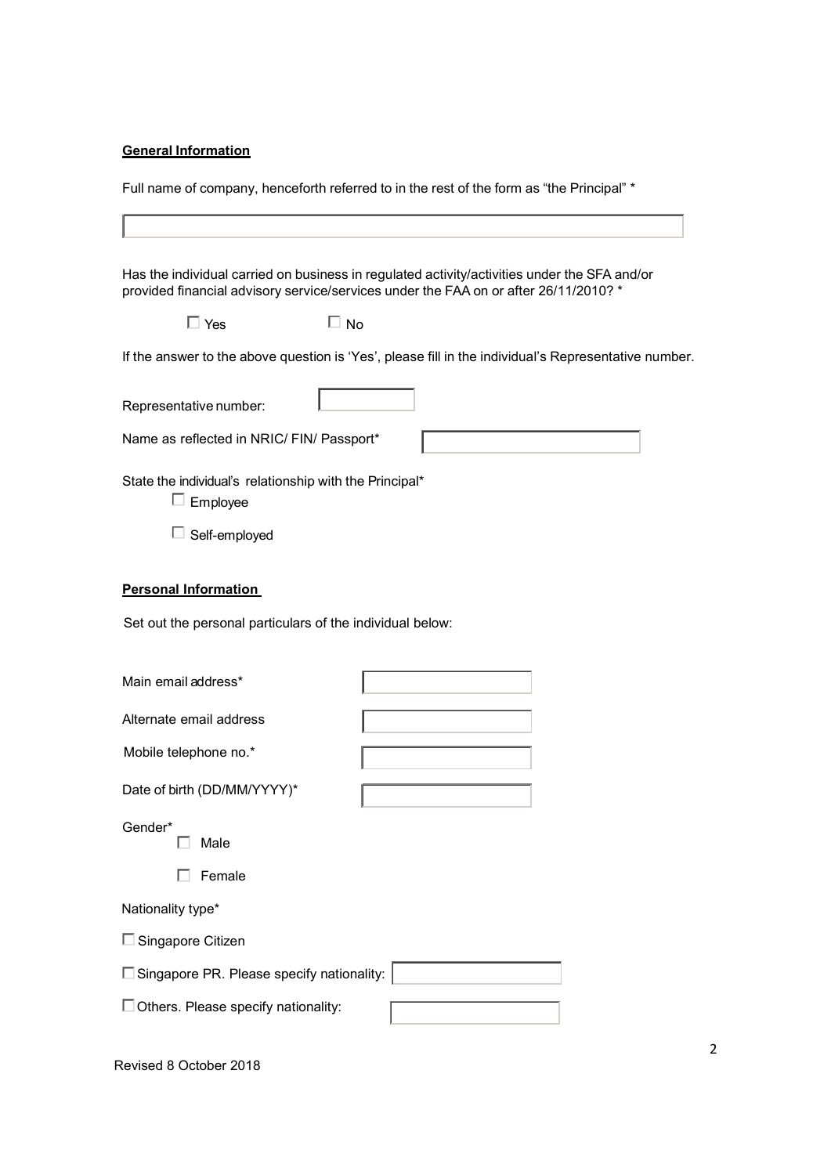# **General Information**

Full name of company, henceforth referred to in the rest of the form as "the Principal" \*

| Has the individual carried on business in regulated activity/activities under the SFA and/or<br>provided financial advisory service/services under the FAA on or after 26/11/2010? * |
|--------------------------------------------------------------------------------------------------------------------------------------------------------------------------------------|
| $\Box$ Yes<br>$\square$ No                                                                                                                                                           |
| If the answer to the above question is 'Yes', please fill in the individual's Representative number.                                                                                 |
| Representative number:                                                                                                                                                               |
| Name as reflected in NRIC/ FIN/ Passport*                                                                                                                                            |
| State the individual's relationship with the Principal*<br>$\Box$ Employee                                                                                                           |
| Self-employed<br>ш                                                                                                                                                                   |
| <b>Personal Information</b>                                                                                                                                                          |
| Set out the personal particulars of the individual below:                                                                                                                            |
| Main email address*                                                                                                                                                                  |
| Alternate email address                                                                                                                                                              |
| Mobile telephone no.*                                                                                                                                                                |
| Date of birth (DD/MM/YYYY)*                                                                                                                                                          |
| Gender*<br>Male                                                                                                                                                                      |
| Female                                                                                                                                                                               |
| Nationality type*                                                                                                                                                                    |
| $\square$ Singapore Citizen                                                                                                                                                          |
| Singapore PR. Please specify nationality:                                                                                                                                            |
| Others. Please specify nationality:                                                                                                                                                  |
|                                                                                                                                                                                      |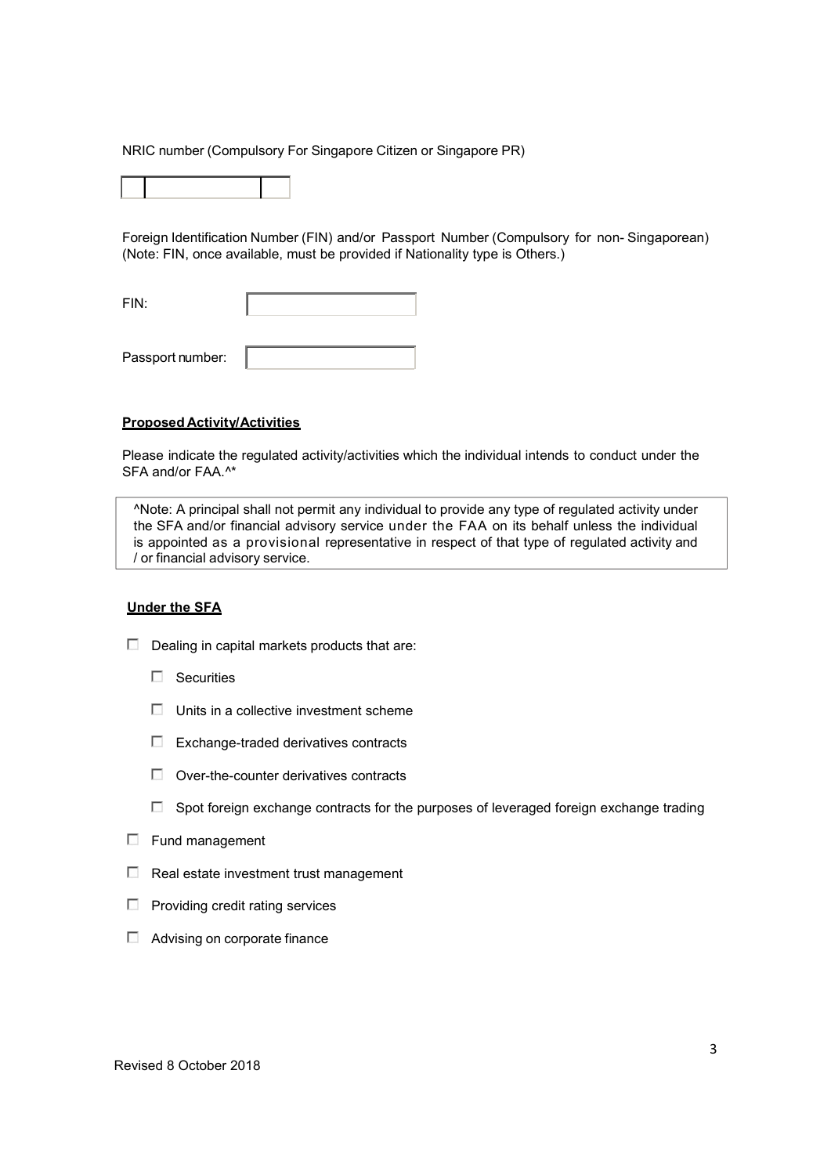NRIC number (Compulsory For Singapore Citizen or Singapore PR)

Foreign Identification Number (FIN) and/or Passport Number (Compulsory for non- Singaporean) (Note: FIN, once available, must be provided if Nationality type is Others.)

FIN:

Passport number:

# Proposed Activity/Activities

Please indicate the regulated activity/activities which the individual intends to conduct under the SFA and/or FAA.^\*

^Note: A principal shall not permit any individual to provide any type of regulated activity under the SFA and/or financial advisory service under the FAA on its behalf unless the individual is appointed as a provisional representative in respect of that type of regulated activity and / or financial advisory service.

# Under the SFA

- $\Box$  Dealing in capital markets products that are:
	- $\Box$  Securities
	- $\Box$  Units in a collective investment scheme
	- E Exchange-traded derivatives contracts
	- $\Box$  Over-the-counter derivatives contracts
	- $\square$  Spot foreign exchange contracts for the purposes of leveraged foreign exchange trading
- $\Box$  Fund management
- $\Box$  Real estate investment trust management
- $\Box$  Providing credit rating services
- $\Box$  Advising on corporate finance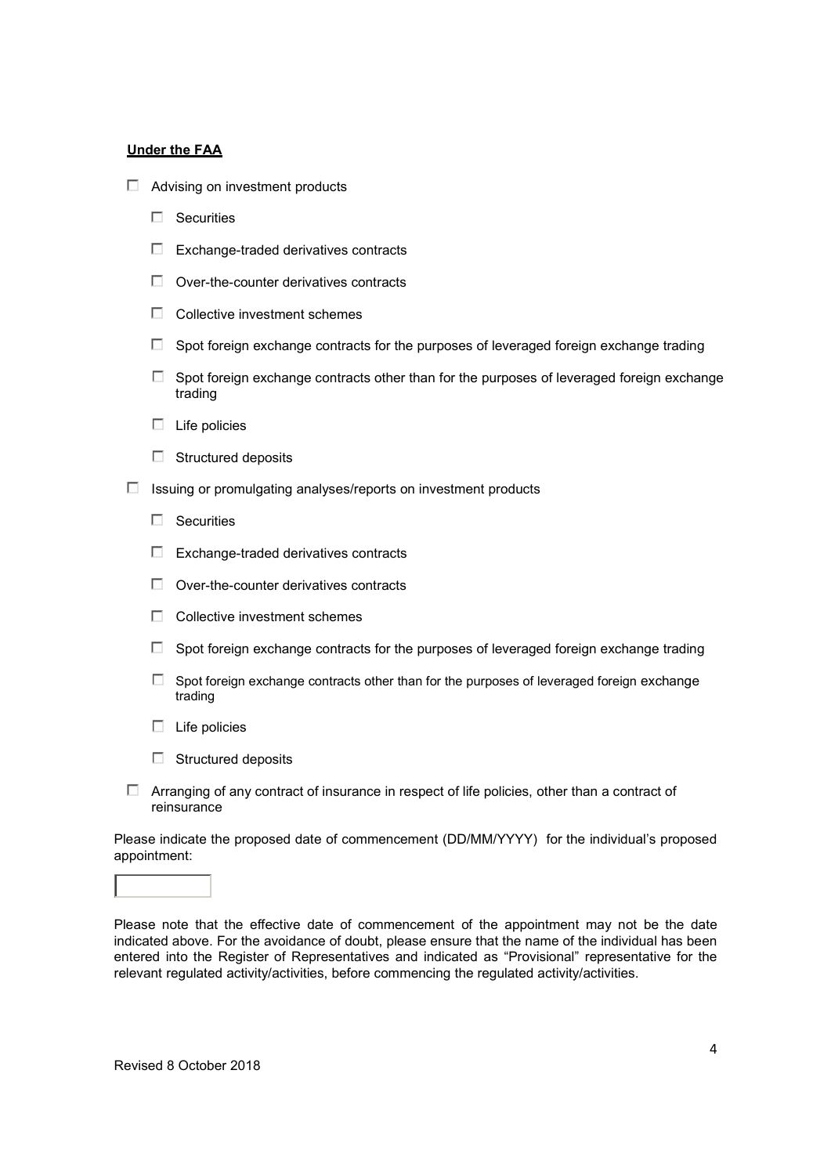# Under the FAA

- $\Box$  Advising on investment products
	- $\Box$  Securities
	- $\Box$  Exchange-traded derivatives contracts
	- $\Box$  Over-the-counter derivatives contracts
	- $\Box$  Collective investment schemes
	- $\Box$  Spot foreign exchange contracts for the purposes of leveraged foreign exchange trading
	- $\Box$  Spot foreign exchange contracts other than for the purposes of leveraged foreign exchange trading
	- $\Box$  Life policies
	- $\Box$  Structured deposits
- $\Box$  Issuing or promulgating analyses/reports on investment products
	- $\Box$  Securities
	- $\Box$  Exchange-traded derivatives contracts
	- $\Box$  Over-the-counter derivatives contracts
	- $\Box$  Collective investment schemes
	- $\Box$  Spot foreign exchange contracts for the purposes of leveraged foreign exchange trading
	- $\square$  Spot foreign exchange contracts other than for the purposes of leveraged foreign exchange trading
	- $\Box$  Life policies
	- $\Box$  Structured deposits
- $\Box$  Arranging of any contract of insurance in respect of life policies, other than a contract of reinsurance

Please indicate the proposed date of commencement (DD/MM/YYYY) for the individual's proposed appointment:

Please note that the effective date of commencement of the appointment may not be the date indicated above. For the avoidance of doubt, please ensure that the name of the individual has been entered into the Register of Representatives and indicated as "Provisional" representative for the relevant regulated activity/activities, before commencing the regulated activity/activities.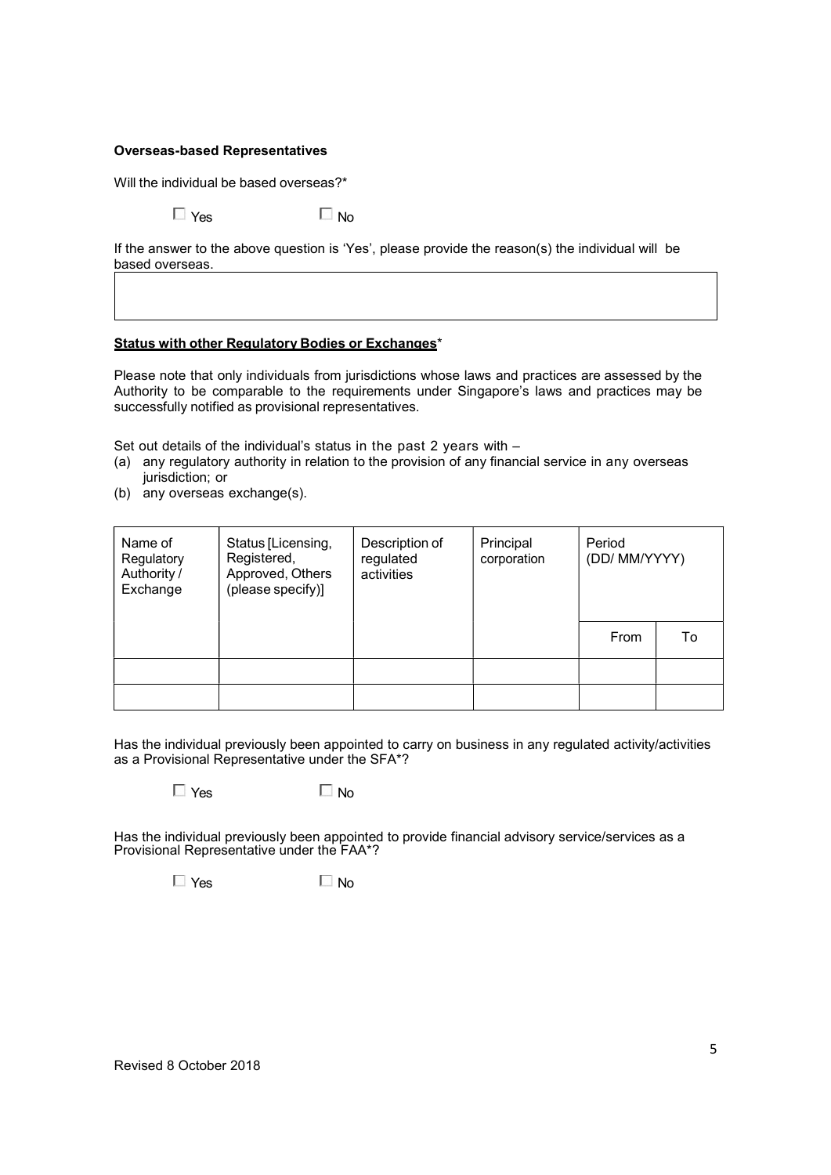# Overseas-based Representatives

Will the individual be based overseas?\*

 $\Box$  Yes  $\Box$  No.

If the answer to the above question is 'Yes', please provide the reason(s) the individual will be based overseas.

# Status with other Regulatory Bodies or Exchanges\*

Please note that only individuals from jurisdictions whose laws and practices are assessed by the Authority to be comparable to the requirements under Singapore's laws and practices may be successfully notified as provisional representatives.

Set out details of the individual's status in the past 2 years with –

- (a) any regulatory authority in relation to the provision of any financial service in any overseas jurisdiction; or
- (b) any overseas exchange(s).

| Name of<br>Regulatory<br>Authority /<br>Exchange | Status [Licensing,<br>Registered,<br>Approved, Others<br>(please specify)] | Description of<br>regulated<br>activities | Principal<br>corporation | Period<br>(DD/ MM/YYYY) |    |  |
|--------------------------------------------------|----------------------------------------------------------------------------|-------------------------------------------|--------------------------|-------------------------|----|--|
|                                                  |                                                                            |                                           |                          | From                    | To |  |
|                                                  |                                                                            |                                           |                          |                         |    |  |
|                                                  |                                                                            |                                           |                          |                         |    |  |

Has the individual previously been appointed to carry on business in any regulated activity/activities as a Provisional Representative under the SFA\*?

 $\Box$  Yes  $\Box$  No

Has the individual previously been appointed to provide financial advisory service/services as a Provisional Representative under the FAA\*?

 $\Box$  Yes  $\Box$  No.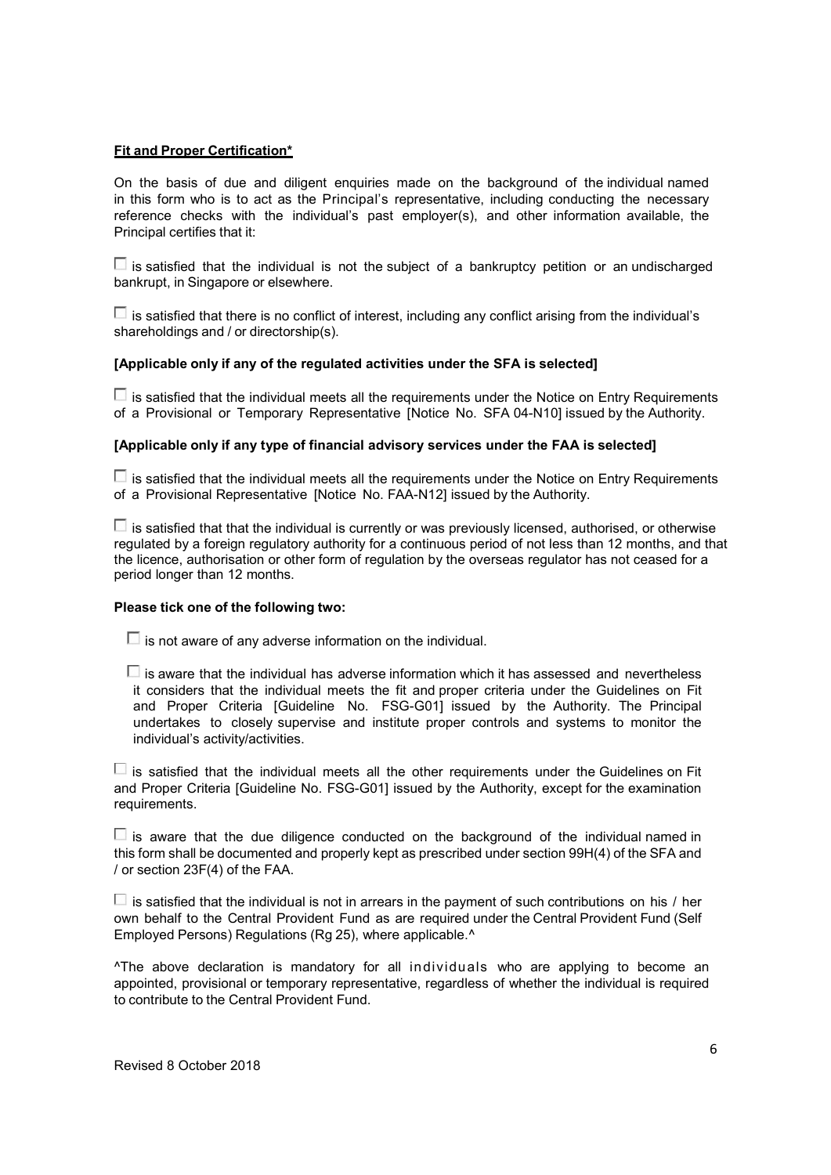# **Fit and Proper Certification\***

On the basis of due and diligent enquiries made on the background of the individual named in this form who is to act as the Principal's representative, including conducting the necessary reference checks with the individual's past employer(s), and other information available, the Principal certifies that it:

 $\Box$  is satisfied that the individual is not the subject of a bankruptcy petition or an undischarged bankrupt, in Singapore or elsewhere.

 $\Box$  is satisfied that there is no conflict of interest, including any conflict arising from the individual's shareholdings and / or directorship(s).

# [Applicable only if any of the regulated activities under the SFA is selected]

 $\Box$  is satisfied that the individual meets all the requirements under the Notice on Entry Requirements of a Provisional or Temporary Representative [Notice No. SFA 04-N10] issued by the Authority.

# [Applicable only if any type of financial advisory services under the FAA is selected]

 $\Box$  is satisfied that the individual meets all the requirements under the Notice on Entry Requirements of a Provisional Representative [Notice No. FAA-N12] issued by the Authority.

 $\Box$  is satisfied that that the individual is currently or was previously licensed, authorised, or otherwise regulated by a foreign regulatory authority for a continuous period of not less than 12 months, and that the licence, authorisation or other form of regulation by the overseas regulator has not ceased for a period longer than 12 months.

# Please tick one of the following two:

 $\Box$  is not aware of any adverse information on the individual.

 $\square$  is aware that the individual has adverse information which it has assessed and nevertheless it considers that the individual meets the fit and proper criteria under the Guidelines on Fit and Proper Criteria [Guideline No. FSG-G01] issued by the Authority. The Principal undertakes to closely supervise and institute proper controls and systems to monitor the individual's activity/activities.

 $\square$  is satisfied that the individual meets all the other requirements under the Guidelines on Fit and Proper Criteria [Guideline No. FSG-G01] issued by the Authority, except for the examination requirements.

 $\Box$  is aware that the due diligence conducted on the background of the individual named in this form shall be documented and properly kept as prescribed under section 99H(4) of the SFA and / or section 23F(4) of the FAA.

 $\Box$  is satisfied that the individual is not in arrears in the payment of such contributions on his / her own behalf to the Central Provident Fund as are required under the Central Provident Fund (Self Employed Persons) Regulations (Rg 25), where applicable.^

^The above declaration is mandatory for all individuals who are applying to become an appointed, provisional or temporary representative, regardless of whether the individual is required to contribute to the Central Provident Fund.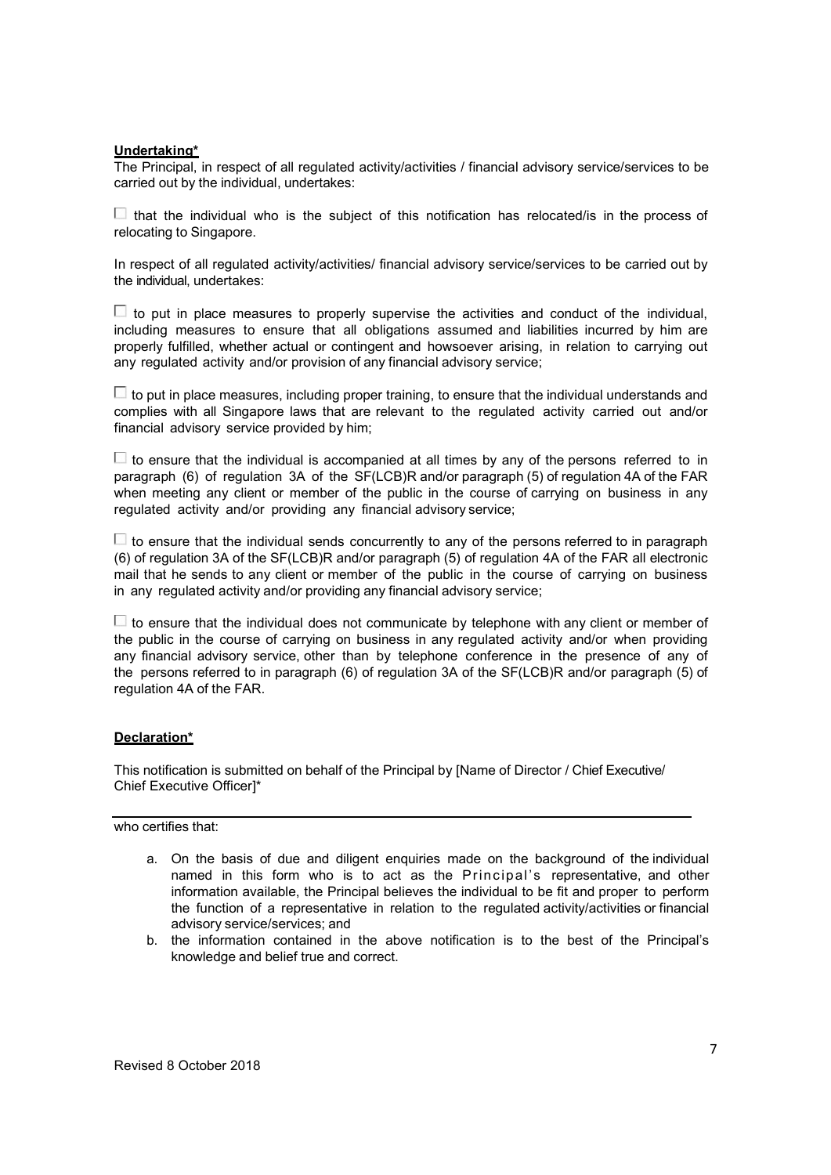#### Undertaking\*

The Principal, in respect of all regulated activity/activities / financial advisory service/services to be carried out by the individual, undertakes:

 $\Box$  that the individual who is the subject of this notification has relocated/is in the process of relocating to Singapore.

In respect of all regulated activity/activities/ financial advisory service/services to be carried out by the individual, undertakes:

 $\Box$  to put in place measures to properly supervise the activities and conduct of the individual, including measures to ensure that all obligations assumed and liabilities incurred by him are properly fulfilled, whether actual or contingent and howsoever arising, in relation to carrying out any regulated activity and/or provision of any financial advisory service;

 $\Box$  to put in place measures, including proper training, to ensure that the individual understands and complies with all Singapore laws that are relevant to the regulated activity carried out and/or financial advisory service provided by him;

 $\Box$  to ensure that the individual is accompanied at all times by any of the persons referred to in paragraph (6) of regulation 3A of the SF(LCB)R and/or paragraph (5) of regulation 4A of the FAR when meeting any client or member of the public in the course of carrying on business in any regulated activity and/or providing any financial advisory service;

 $\Box$  to ensure that the individual sends concurrently to any of the persons referred to in paragraph (6) of regulation 3A of the SF(LCB)R and/or paragraph (5) of regulation 4A of the FAR all electronic mail that he sends to any client or member of the public in the course of carrying on business in any regulated activity and/or providing any financial advisory service;

 $\Box$  to ensure that the individual does not communicate by telephone with any client or member of the public in the course of carrying on business in any regulated activity and/or when providing any financial advisory service, other than by telephone conference in the presence of any of the persons referred to in paragraph (6) of regulation 3A of the SF(LCB)R and/or paragraph (5) of regulation 4A of the FAR.

#### Declaration\*

This notification is submitted on behalf of the Principal by [Name of Director / Chief Executive/ Chief Executive Officer]\*

#### who certifies that:

- a. On the basis of due and diligent enquiries made on the background of the individual named in this form who is to act as the Principal's representative, and other information available, the Principal believes the individual to be fit and proper to perform the function of a representative in relation to the regulated activity/activities or financial advisory service/services; and
- b. the information contained in the above notification is to the best of the Principal's knowledge and belief true and correct.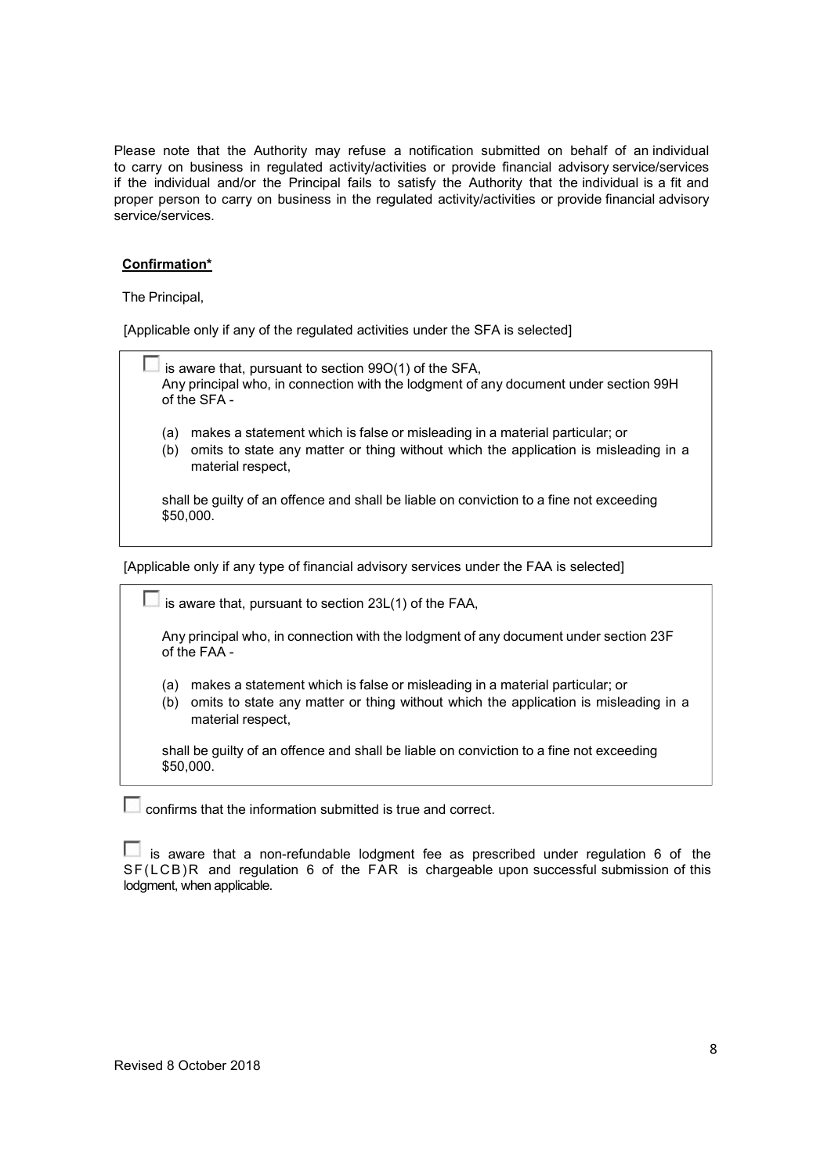Please note that the Authority may refuse a notification submitted on behalf of an individual to carry on business in regulated activity/activities or provide financial advisory service/services if the individual and/or the Principal fails to satisfy the Authority that the individual is a fit and proper person to carry on business in the regulated activity/activities or provide financial advisory service/services.

# Confirmation\*

The Principal,

[Applicable only if any of the regulated activities under the SFA is selected]

|            | is aware that, pursuant to section 99O(1) of the SFA,<br>Any principal who, in connection with the lodgment of any document under section 99H<br>of the SFA-                            |
|------------|-----------------------------------------------------------------------------------------------------------------------------------------------------------------------------------------|
| (a)<br>(b) | makes a statement which is false or misleading in a material particular; or<br>omits to state any matter or thing without which the application is misleading in a<br>material respect, |
|            | shall be guilty of an offence and shall be liable on conviction to a fine not exceeding<br>\$50,000.                                                                                    |

[Applicable only if any type of financial advisory services under the FAA is selected]

 $\Box$  is aware that, pursuant to section 23L(1) of the FAA,

Any principal who, in connection with the lodgment of any document under section 23F of the FAA -

- (a) makes a statement which is false or misleading in a material particular; or
- (b) omits to state any matter or thing without which the application is misleading in a material respect,

shall be guilty of an offence and shall be liable on conviction to a fine not exceeding \$50,000.

confirms that the information submitted is true and correct.

 $\Box$  is aware that a non-refundable lodgment fee as prescribed under regulation 6 of the SF(LCB)R and regulation 6 of the FAR is chargeable upon successful submission of this lodgment, when applicable.